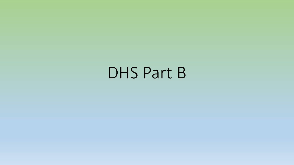# DHS Part B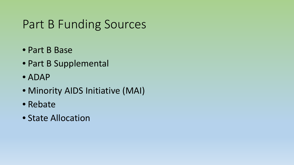## Part B Funding Sources

- Part B Base
- Part B Supplemental
- ADAP
- Minority AIDS Initiative (MAI)
- Rebate
- State Allocation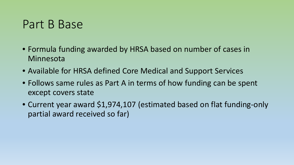#### Part B Base

- Formula funding awarded by HRSA based on number of cases in Minnesota
- Available for HRSA defined Core Medical and Support Services
- Follows same rules as Part A in terms of how funding can be spent except covers state
- Current year award \$1,974,107 (estimated based on flat funding-only partial award received so far)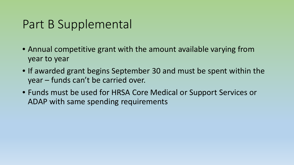## Part B Supplemental

- Annual competitive grant with the amount available varying from year to year
- If awarded grant begins September 30 and must be spent within the year – funds can't be carried over.
- Funds must be used for HRSA Core Medical or Support Services or ADAP with same spending requirements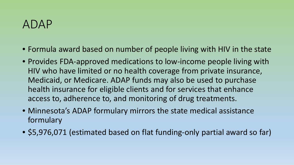#### ADAP

- Formula award based on number of people living with HIV in the state
- Provides FDA-approved medications to low-income people living with HIV who have limited or no health coverage from private insurance, Medicaid, or Medicare. ADAP funds may also be used to purchase health insurance for eligible clients and for services that enhance access to, adherence to, and monitoring of drug treatments.
- Minnesota's ADAP formulary mirrors the state medical assistance formulary
- \$5,976,071 (estimated based on flat funding-only partial award so far)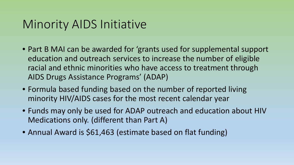## Minority AIDS Initiative

- Part B MAI can be awarded for 'grants used for supplemental support education and outreach services to increase the number of eligible racial and ethnic minorities who have access to treatment through AIDS Drugs Assistance Programs' (ADAP)
- Formula based funding based on the number of reported living minority HIV/AIDS cases for the most recent calendar year
- Funds may only be used for ADAP outreach and education about HIV Medications only. (different than Part A)
- Annual Award is \$61,463 (estimate based on flat funding)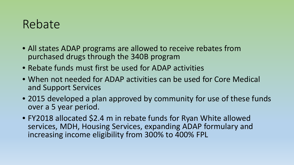## Rebate

- All states ADAP programs are allowed to receive rebates from purchased drugs through the 340B program
- Rebate funds must first be used for ADAP activities
- When not needed for ADAP activities can be used for Core Medical and Support Services
- 2015 developed a plan approved by community for use of these funds over a 5 year period.
- FY2018 allocated \$2.4 m in rebate funds for Ryan White allowed services, MDH, Housing Services, expanding ADAP formulary and increasing income eligibility from 300% to 400% FPL